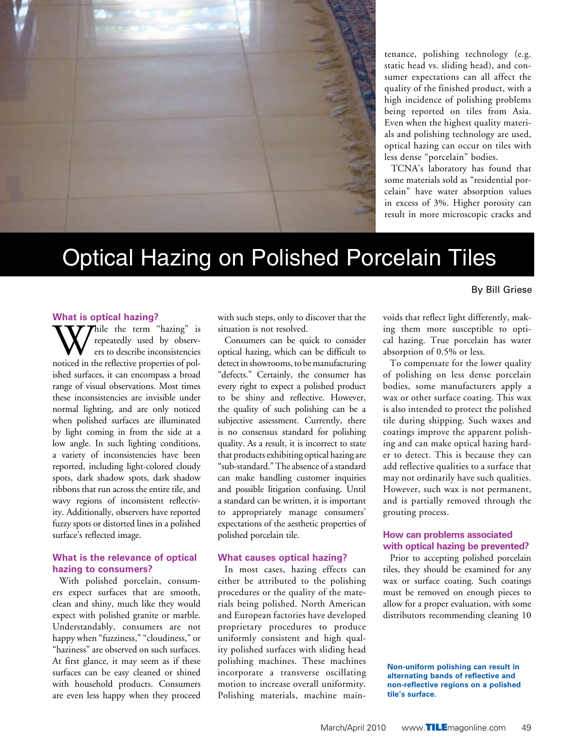

tenance, polishing technology (e.g. static head vs. sliding head), and consumer expectations can all affect the quality of the finished product, with a high incidence of polishing problems being reported on tiles from Asia. Even when the highest quality materials and polishing technology are used, optical hazing can occur on tiles with less dense "porcelain" bodies.

TCNA's laboratory has found that some materials sold as "residential porcelain" have water absorption values in excess of 3%. Higher porosity can result in more microscopic cracks and

## Optical Hazing on Polished Porcelain Tiles

#### By Bill Griese

#### **What is optical hazing?**

While the term "hazing" is<br>repeatedly used by observ-<br>noticed in the reflective properties of polrepeatedly used by observers to describe inconsistencies ished surfaces, it can encompass a broad range of visual observations. Most times these inconsistencies are invisible under normal lighting, and are only noticed when polished surfaces are illuminated by light coming in from the side at a low angle. In such lighting conditions, a variety of inconsistencies have been reported, including light-colored cloudy spots, dark shadow spots, dark shadow ribbons that run across the entire tile, and wavy regions of inconsistent reflectivity. Additionally, observers have reported fuzzy spots or distorted lines in a polished surface's reflected image.

#### **What is the relevance of optical hazing to consumers?**

With polished porcelain, consumers expect surfaces that are smooth, clean and shiny, much like they would expect with polished granite or marble. Understandably, consumers are not happy when "fuzziness," "cloudiness," or "haziness" are observed on such surfaces. At first glance, it may seem as if these surfaces can be easy cleaned or shined with household products. Consumers are even less happy when they proceed

with such steps, only to discover that the situation is not resolved.

Consumers can be quick to consider optical hazing, which can be difficult to detect in showrooms, to be manufacturing "defects." Certainly, the consumer has every right to expect a polished product to be shiny and reflective. However, the quality of such polishing can be a subjective assessment. Currently, there is no consensus standard for polishing quality. As a result, it is incorrect to state that products exhibiting optical hazing are "sub-standard." The absence of a standard can make handling customer inquiries and possible litigation confusing. Until a standard can be written, it is important to appropriately manage consumers' expectations of the aesthetic properties of polished porcelain tile.

#### **What causes optical hazing?**

In most cases, hazing effects can either be attributed to the polishing procedures or the quality of the materials being polished. North American and European factories have developed proprietary procedures to produce uniformly consistent and high quality polished surfaces with sliding head polishing machines. These machines incorporate a transverse oscillating motion to increase overall uniformity. Polishing materials, machine main-

voids that reflect light differently, making them more susceptible to optical hazing. True porcelain has water absorption of 0.5% or less.

To compensate for the lower quality of polishing on less dense porcelain bodies, some manufacturers apply a wax or other surface coating. This wax is also intended to protect the polished tile during shipping. Such waxes and coatings improve the apparent polishing and can make optical hazing harder to detect. This is because they can add reflective qualities to a surface that may not ordinarily have such qualities. However, such wax is not permanent, and is partially removed through the grouting process.

#### **How can problems associated with optical hazing be prevented?**

Prior to accepting polished porcelain tiles, they should be examined for any wax or surface coating. Such coatings must be removed on enough pieces to allow for a proper evaluation, with some distributors recommending cleaning 10

**Non-uniform polishing can result in alternating bands of reflective and non-reflective regions on a polished tile's surface.**